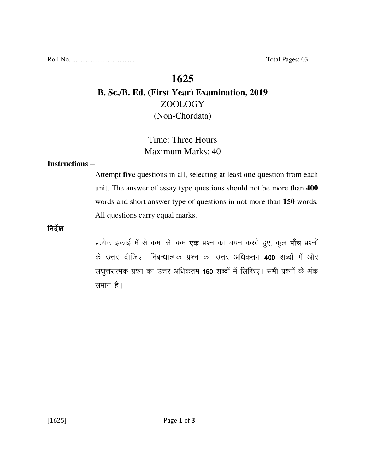Roll No. ..................................... Total Pages: 03

# **1625**

# **B. Sc./B. Ed. (First Year) Examination, 2019**  ZOOLOGY (Non-Chordata)

# Time: Three Hours Maximum Marks: 40

#### **Instructions** –

Attempt **five** questions in all, selecting at least **one** question from each unit. The answer of essay type questions should not be more than **400** words and short answer type of questions in not more than **150** words. All questions carry equal marks.

निर्देश $-$ 

प्रत्येक इकाई में से कम-से-कम **एक** प्रश्न का चयन करते हुए, कुल **पाँच** प्रश्नों के उत्तर दीजिए। निबन्धात्मक प्रश्न का उत्तर अधिकतम 400 शब्दों में और लघुत्तरात्मक प्रश्न का उत्तर अधिकतम 150 शब्दों में लिखिए। सभी प्रश्नों के अंक समान हैं।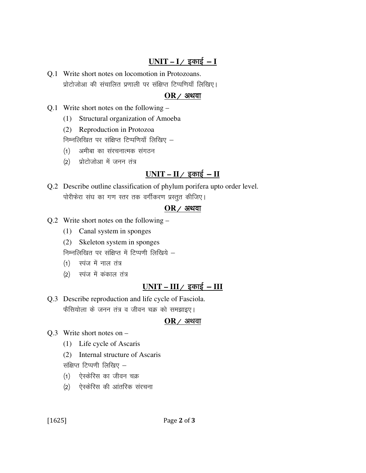## $UNIT - I /$  इकाई - **I**

Q.1 Write short notes on locomotion in Protozoans. प्रोटोजोआ की संचालित प्रणाली पर संक्षिप्त टिप्पणियाँ लिखिए।

#### $OR$  / अथवा

- Q.1 Write short notes on the following
	- (1) Structural organization of Amoeba
	- (2) Reproduction in Protozoa

निम्नलिखित पर संक्षिप्त टिप्पणियाँ लिखिए  $-$ 

- (1) अमीबा का संरचनात्मक संगठन
- $(2)$  प्रोटोजोआ में जनन तंत्र

### $UNIT - II /$  इकाई  $- II$

Q.2 Describe outline classification of phylum porifera upto order level. पोरीफेरा संघ का गण स्तर तक वर्गीकरण प्रस्तुत कीजिए।

#### $OR$  / अथवा

- Q.2 Write short notes on the following
	- (1) Canal system in sponges
	- (2) Skeleton system in sponges

निम्नलिखित पर संक्षिप्त में टिप्पणी लिखिये –

- $(1)$  स्पंज में नाल तंत्र
- $(2)$  स्पंज में कंकाल तंत्र

### <u>UNIT – III / इकाई – III</u>

Q.3 Describe reproduction and life cycle of Fasciola. फैसियोला के जनन तंत्र व जीवन चक्र को समझाइए।

#### $OR$  / अथवा

- Q.3 Write short notes on
	- (1) Life cycle of Ascaris
	- (2) Internal structure of Ascaris

संक्षिप्त टिप्पणी लिखिए  $-$ 

- (1) ऐस्केरिस का जीवन चक्र
- (2) एेस्केरिस की आंतरिक संरचना